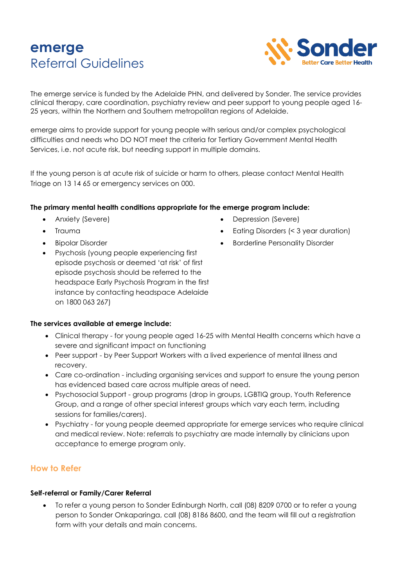# **emerge** Referral Guidelines



The emerge service is funded by the Adelaide PHN, and delivered by Sonder. The service provides clinical therapy, care coordination, psychiatry review and peer support to young people aged 16- 25 years, within the Northern and Southern metropolitan regions of Adelaide.

emerge aims to provide support for young people with serious and/or complex psychological difficulties and needs who DO NOT meet the criteria for Tertiary Government Mental Health Services, i.e. not acute risk, but needing support in multiple domains.

If the young person is at acute risk of suicide or harm to others, please contact Mental Health Triage on 13 14 65 or emergency services on 000.

#### **The primary mental health conditions appropriate for the emerge program include:**

- 
- 
- Bipolar Disorder
- Anxiety (Severe) Depression (Severe)
- Trauma Eating Disorders (< 3 year duration)
	- Borderline Personality Disorder
- Psychosis (young people experiencing first episode psychosis or deemed 'at risk' of first episode psychosis should be referred to the headspace Early Psychosis Program in the first instance by contacting headspace Adelaide on 1800 063 267)

#### **The services available at emerge include:**

- Clinical therapy for young people aged 16-25 with Mental Health concerns which have a severe and significant impact on functioning
- Peer support by Peer Support Workers with a lived experience of mental illness and recovery.
- Care co-ordination including organising services and support to ensure the young person has evidenced based care across multiple areas of need.
- Psychosocial Support group programs (drop in groups, LGBTIQ group, Youth Reference Group, and a range of other special interest groups which vary each term, including sessions for families/carers).
- Psychiatry for young people deemed appropriate for emerge services who require clinical and medical review. Note: referrals to psychiatry are made internally by clinicians upon acceptance to emerge program only.

## **How to Refer**

#### **Self-referral or Family/Carer Referral**

• To refer a young person to Sonder Edinburgh North, call (08) 8209 0700 or to refer a young person to Sonder Onkaparinga, call (08) 8186 8600, and the team will fill out a registration form with your details and main concerns.